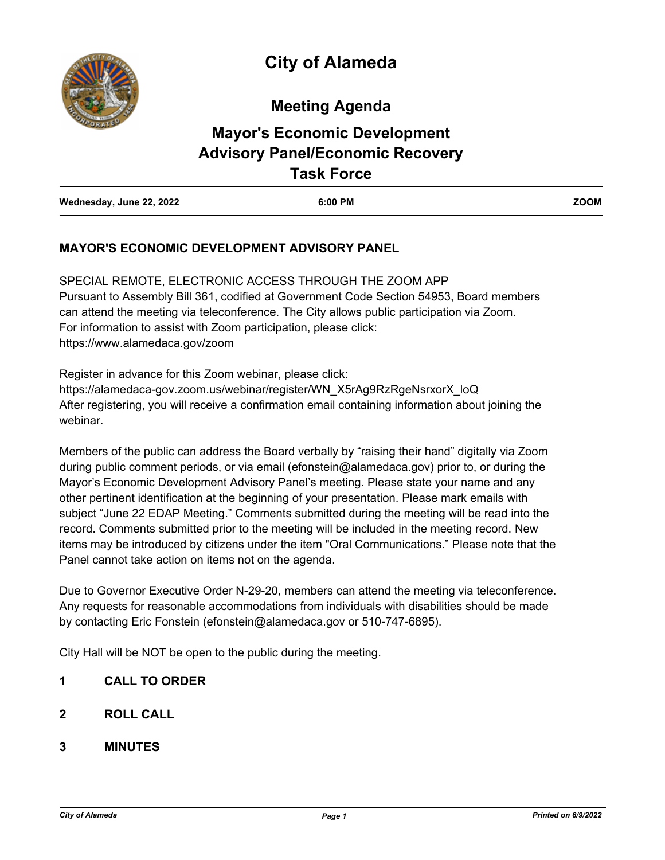**Meeting Agenda**

# **Mayor's Economic Development Advisory Panel/Economic Recovery Task Force**

| Wednesday, June 22, 2022 | 6:00 PM | <b>ZOOM</b> |
|--------------------------|---------|-------------|

## **MAYOR'S ECONOMIC DEVELOPMENT ADVISORY PANEL**

SPECIAL REMOTE, ELECTRONIC ACCESS THROUGH THE ZOOM APP Pursuant to Assembly Bill 361, codified at Government Code Section 54953, Board members can attend the meeting via teleconference. The City allows public participation via Zoom. For information to assist with Zoom participation, please click: https://www.alamedaca.gov/zoom

Register in advance for this Zoom webinar, please click: https://alamedaca-gov.zoom.us/webinar/register/WN\_X5rAg9RzRgeNsrxorX\_loQ After registering, you will receive a confirmation email containing information about joining the webinar.

Members of the public can address the Board verbally by "raising their hand" digitally via Zoom during public comment periods, or via email (efonstein@alamedaca.gov) prior to, or during the Mayor's Economic Development Advisory Panel's meeting. Please state your name and any other pertinent identification at the beginning of your presentation. Please mark emails with subject "June 22 EDAP Meeting." Comments submitted during the meeting will be read into the record. Comments submitted prior to the meeting will be included in the meeting record. New items may be introduced by citizens under the item "Oral Communications." Please note that the Panel cannot take action on items not on the agenda.

Due to Governor Executive Order N-29-20, members can attend the meeting via teleconference. Any requests for reasonable accommodations from individuals with disabilities should be made by contacting Eric Fonstein (efonstein@alamedaca.gov or 510-747-6895).

City Hall will be NOT be open to the public during the meeting.

- **1 CALL TO ORDER**
- **2 ROLL CALL**
- **3 MINUTES**